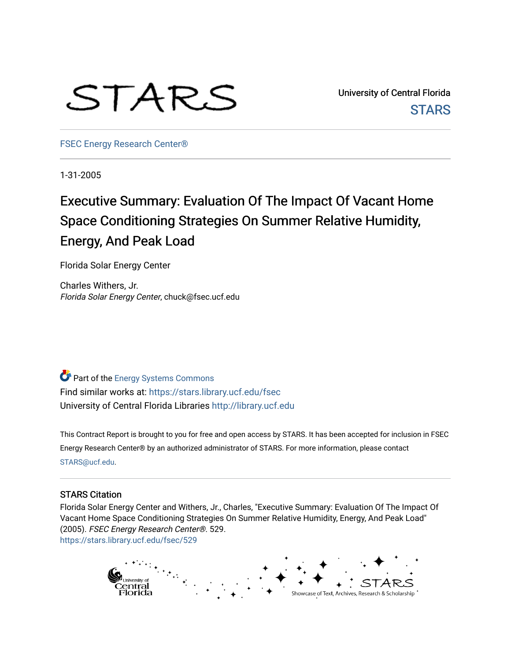# STARS

University of Central Florida **STARS** 

[FSEC Energy Research Center®](https://stars.library.ucf.edu/fsec) 

1-31-2005

# Executive Summary: Evaluation Of The Impact Of Vacant Home Space Conditioning Strategies On Summer Relative Humidity, Energy, And Peak Load

Florida Solar Energy Center

Charles Withers, Jr. Florida Solar Energy Center, chuck@fsec.ucf.edu

**Part of the Energy Systems Commons** Find similar works at: <https://stars.library.ucf.edu/fsec> University of Central Florida Libraries [http://library.ucf.edu](http://library.ucf.edu/) 

This Contract Report is brought to you for free and open access by STARS. It has been accepted for inclusion in FSEC Energy Research Center® by an authorized administrator of STARS. For more information, please contact [STARS@ucf.edu](mailto:STARS@ucf.edu).

#### STARS Citation

Florida Solar Energy Center and Withers, Jr., Charles, "Executive Summary: Evaluation Of The Impact Of Vacant Home Space Conditioning Strategies On Summer Relative Humidity, Energy, And Peak Load" (2005). FSEC Energy Research Center®. 529. [https://stars.library.ucf.edu/fsec/529](https://stars.library.ucf.edu/fsec/529?utm_source=stars.library.ucf.edu%2Ffsec%2F529&utm_medium=PDF&utm_campaign=PDFCoverPages)

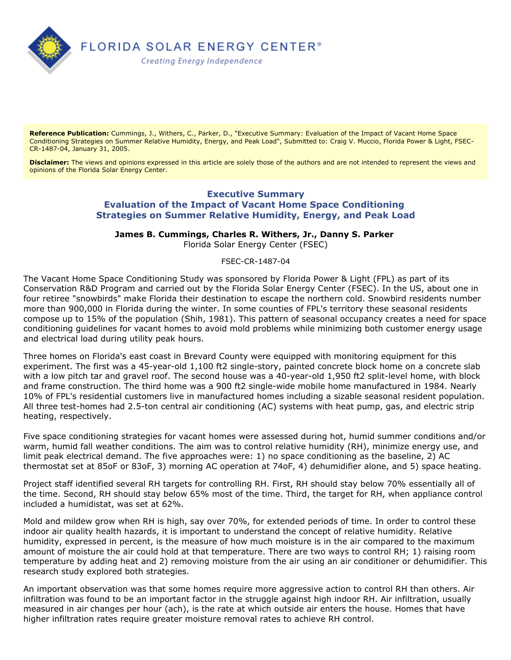

**Reference Publication:** Cummings, J., Withers, C., Parker, D., "Executive Summary: Evaluation of the Impact of Vacant Home Space Conditioning Strategies on Summer Relative Humidity, Energy, and Peak Load", Submitted to: Craig V. Muccio, Florida Power & Light, FSEC-CR-1487-04, January 31, 2005.

**Disclaimer:** The views and opinions expressed in this article are solely those of the authors and are not intended to represent the views and opinions of the Florida Solar Energy Center.

## **Executive Summary Evaluation of the Impact of Vacant Home Space Conditioning Strategies on Summer Relative Humidity, Energy, and Peak Load**

**James B. Cummings, Charles R. Withers, Jr., Danny S. Parker** 

Florida Solar Energy Center (FSEC)

FSEC-CR-1487-04

The Vacant Home Space Conditioning Study was sponsored by Florida Power & Light (FPL) as part of its Conservation R&D Program and carried out by the Florida Solar Energy Center (FSEC). In the US, about one in four retiree "snowbirds" make Florida their destination to escape the northern cold. Snowbird residents number more than 900,000 in Florida during the winter. In some counties of FPL's territory these seasonal residents compose up to 15% of the population (Shih, 1981). This pattern of seasonal occupancy creates a need for space conditioning guidelines for vacant homes to avoid mold problems while minimizing both customer energy usage and electrical load during utility peak hours.

Three homes on Florida's east coast in Brevard County were equipped with monitoring equipment for this experiment. The first was a 45-year-old 1,100 ft2 single-story, painted concrete block home on a concrete slab with a low pitch tar and gravel roof. The second house was a 40-year-old 1,950 ft2 split-level home, with block and frame construction. The third home was a 900 ft2 single-wide mobile home manufactured in 1984. Nearly 10% of FPL's residential customers live in manufactured homes including a sizable seasonal resident population. All three test-homes had 2.5-ton central air conditioning (AC) systems with heat pump, gas, and electric strip heating, respectively.

Five space conditioning strategies for vacant homes were assessed during hot, humid summer conditions and/or warm, humid fall weather conditions. The aim was to control relative humidity (RH), minimize energy use, and limit peak electrical demand. The five approaches were: 1) no space conditioning as the baseline, 2) AC thermostat set at 85oF or 83oF, 3) morning AC operation at 74oF, 4) dehumidifier alone, and 5) space heating.

Project staff identified several RH targets for controlling RH. First, RH should stay below 70% essentially all of the time. Second, RH should stay below 65% most of the time. Third, the target for RH, when appliance control included a humidistat, was set at 62%.

Mold and mildew grow when RH is high, say over 70%, for extended periods of time. In order to control these indoor air quality health hazards, it is important to understand the concept of relative humidity. Relative humidity, expressed in percent, is the measure of how much moisture is in the air compared to the maximum amount of moisture the air could hold at that temperature. There are two ways to control RH; 1) raising room temperature by adding heat and 2) removing moisture from the air using an air conditioner or dehumidifier. This research study explored both strategies.

An important observation was that some homes require more aggressive action to control RH than others. Air infiltration was found to be an important factor in the struggle against high indoor RH. Air infiltration, usually measured in air changes per hour (ach), is the rate at which outside air enters the house. Homes that have higher infiltration rates require greater moisture removal rates to achieve RH control.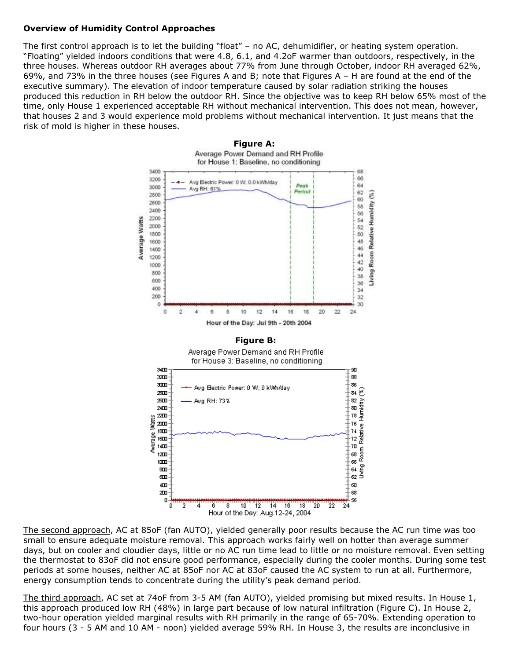## **Overview of Humidity Control Approaches**

The first control approach is to let the building "float" – no AC, dehumidifier, or heating system operation. "Floating" yielded indoors conditions that were 4.8, 6.1, and 4.2oF warmer than outdoors, respectively, in the three houses. Whereas outdoor RH averages about 77% from June through October, indoor RH averaged 62%, 69%, and 73% in the three houses (see Figures A and B; note that Figures A – H are found at the end of the executive summary). The elevation of indoor temperature caused by solar radiation striking the houses produced this reduction in RH below the outdoor RH. Since the objective was to keep RH below 65% most of the time, only House 1 experienced acceptable RH without mechanical intervention. This does not mean, however, that houses 2 and 3 would experience mold problems without mechanical intervention. It just means that the risk of mold is higher in these houses.



The second approach, AC at 85oF (fan AUTO), yielded generally poor results because the AC run time was too small to ensure adequate moisture removal. This approach works fairly well on hotter than average summer days, but on cooler and cloudier days, little or no AC run time lead to little or no moisture removal. Even setting the thermostat to 83oF did not ensure good performance, especially during the cooler months. During some test periods at some houses, neither AC at 85oF nor AC at 83oF caused the AC system to run at all. Furthermore, energy consumption tends to concentrate during the utility's peak demand period.

The third approach, AC set at 74oF from 3-5 AM (fan AUTO), yielded promising but mixed results. In House 1, this approach produced low RH (48%) in large part because of low natural infiltration (Figure C). In House 2, two-hour operation yielded marginal results with RH primarily in the range of 65-70%. Extending operation to four hours (3 - 5 AM and 10 AM - noon) yielded average 59% RH. In House 3, the results are inconclusive in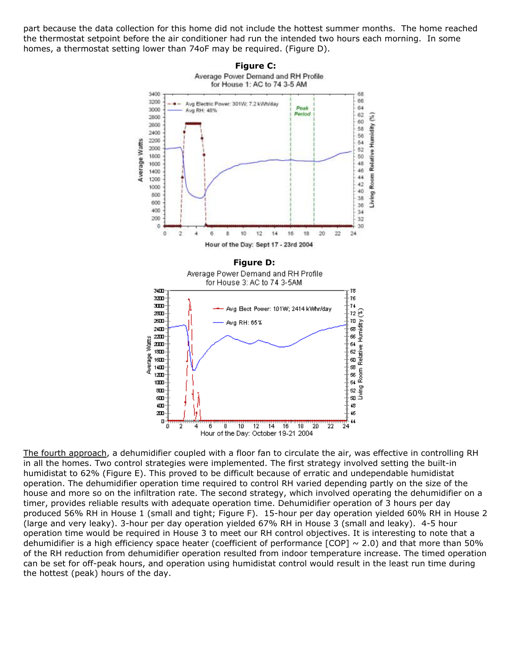part because the data collection for this home did not include the hottest summer months. The home reached the thermostat setpoint before the air conditioner had run the intended two hours each morning. In some homes, a thermostat setting lower than 74oF may be required. (Figure D).



The fourth approach, a dehumidifier coupled with a floor fan to circulate the air, was effective in controlling RH in all the homes. Two control strategies were implemented. The first strategy involved setting the built-in humidistat to 62% (Figure E). This proved to be difficult because of erratic and undependable humidistat operation. The dehumidifier operation time required to control RH varied depending partly on the size of the house and more so on the infiltration rate. The second strategy, which involved operating the dehumidifier on a timer, provides reliable results with adequate operation time. Dehumidifier operation of 3 hours per day produced 56% RH in House 1 (small and tight; Figure F). 15-hour per day operation yielded 60% RH in House 2 (large and very leaky). 3-hour per day operation yielded 67% RH in House 3 (small and leaky). 4-5 hour operation time would be required in House 3 to meet our RH control objectives. It is interesting to note that a dehumidifier is a high efficiency space heater (coefficient of performance  $[COP] \sim 2.0$ ) and that more than 50% of the RH reduction from dehumidifier operation resulted from indoor temperature increase. The timed operation can be set for off-peak hours, and operation using humidistat control would result in the least run time during the hottest (peak) hours of the day.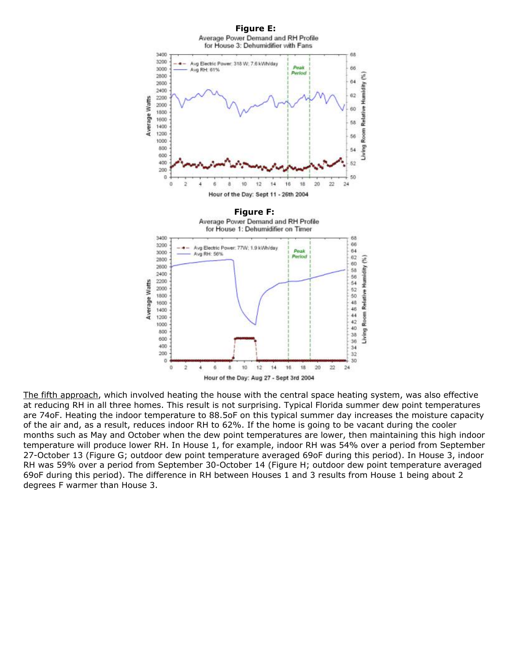

The fifth approach, which involved heating the house with the central space heating system, was also effective at reducing RH in all three homes. This result is not surprising. Typical Florida summer dew point temperatures are 74oF. Heating the indoor temperature to 88.5oF on this typical summer day increases the moisture capacity of the air and, as a result, reduces indoor RH to 62%. If the home is going to be vacant during the cooler months such as May and October when the dew point temperatures are lower, then maintaining this high indoor temperature will produce lower RH. In House 1, for example, indoor RH was 54% over a period from September 27-October 13 (Figure G; outdoor dew point temperature averaged 69oF during this period). In House 3, indoor RH was 59% over a period from September 30-October 14 (Figure H; outdoor dew point temperature averaged 69oF during this period). The difference in RH between Houses 1 and 3 results from House 1 being about 2 degrees F warmer than House 3.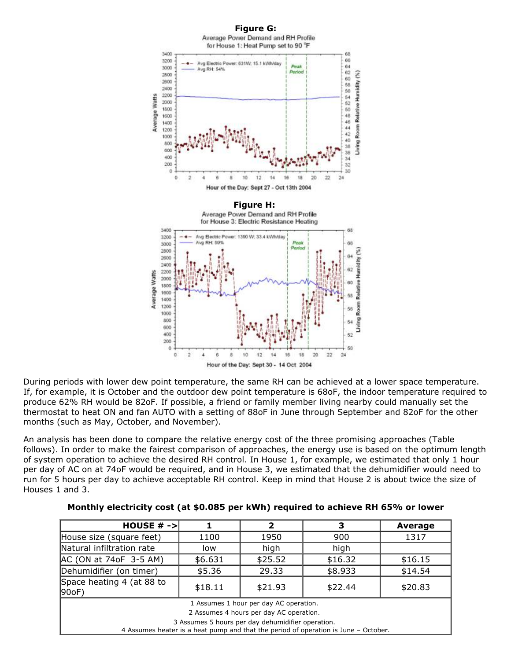

During periods with lower dew point temperature, the same RH can be achieved at a lower space temperature. If, for example, it is October and the outdoor dew point temperature is 68oF, the indoor temperature required to produce 62% RH would be 82oF. If possible, a friend or family member living nearby could manually set the thermostat to heat ON and fan AUTO with a setting of 88oF in June through September and 82oF for the other months (such as May, October, and November).

An analysis has been done to compare the relative energy cost of the three promising approaches (Table follows). In order to make the fairest comparison of approaches, the energy use is based on the optimum length of system operation to achieve the desired RH control. In House 1, for example, we estimated that only 1 hour per day of AC on at 74oF would be required, and in House 3, we estimated that the dehumidifier would need to run for 5 hours per day to achieve acceptable RH control. Keep in mind that House 2 is about twice the size of Houses 1 and 3.

| HOUSE $# ->$                                                                                                                                                                                                                  |         | 2       | з       | Average |
|-------------------------------------------------------------------------------------------------------------------------------------------------------------------------------------------------------------------------------|---------|---------|---------|---------|
| House size (square feet)                                                                                                                                                                                                      | 1100    | 1950    | 900     | 1317    |
| Natural infiltration rate                                                                                                                                                                                                     | low     | high    | high    |         |
| AC (ON at 74oF 3-5 AM)                                                                                                                                                                                                        | \$6.631 | \$25.52 | \$16.32 | \$16.15 |
| Dehumidifier (on timer)                                                                                                                                                                                                       | \$5.36  | 29.33   | \$8.933 | \$14.54 |
| Space heating 4 (at 88 to<br> 90oF)                                                                                                                                                                                           | \$18.11 | \$21.93 | \$22.44 | \$20.83 |
| 1 Assumes 1 hour per day AC operation.<br>2 Assumes 4 hours per day AC operation.<br>3 Assumes 5 hours per day dehumidifier operation.<br>4 Assumes heater is a heat pump and that the period of operation is June - October. |         |         |         |         |

**Monthly electricity cost (at \$0.085 per kWh) required to achieve RH 65% or lower**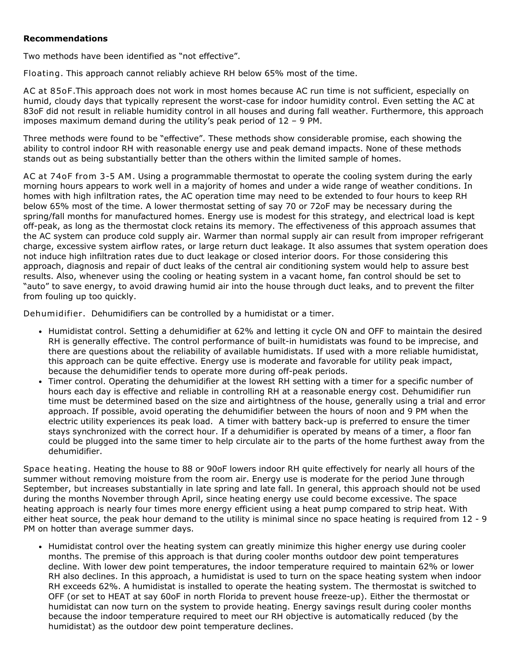#### **Recommendations**

Two methods have been identified as "not effective".

Floating. This approach cannot reliably achieve RH below 65% most of the time.

AC at 85oF.This approach does not work in most homes because AC run time is not sufficient, especially on humid, cloudy days that typically represent the worst-case for indoor humidity control. Even setting the AC at 83oF did not result in reliable humidity control in all houses and during fall weather. Furthermore, this approach imposes maximum demand during the utility's peak period of 12 – 9 PM.

Three methods were found to be "effective". These methods show considerable promise, each showing the ability to control indoor RH with reasonable energy use and peak demand impacts. None of these methods stands out as being substantially better than the others within the limited sample of homes.

AC at 74oF from 3-5 AM. Using a programmable thermostat to operate the cooling system during the early morning hours appears to work well in a majority of homes and under a wide range of weather conditions. In homes with high infiltration rates, the AC operation time may need to be extended to four hours to keep RH below 65% most of the time. A lower thermostat setting of say 70 or 72oF may be necessary during the spring/fall months for manufactured homes. Energy use is modest for this strategy, and electrical load is kept off-peak, as long as the thermostat clock retains its memory. The effectiveness of this approach assumes that the AC system can produce cold supply air. Warmer than normal supply air can result from improper refrigerant charge, excessive system airflow rates, or large return duct leakage. It also assumes that system operation does not induce high infiltration rates due to duct leakage or closed interior doors. For those considering this approach, diagnosis and repair of duct leaks of the central air conditioning system would help to assure best results. Also, whenever using the cooling or heating system in a vacant home, fan control should be set to "auto" to save energy, to avoid drawing humid air into the house through duct leaks, and to prevent the filter from fouling up too quickly.

Dehumidifier. Dehumidifiers can be controlled by a humidistat or a timer.

- Humidistat control. Setting a dehumidifier at 62% and letting it cycle ON and OFF to maintain the desired RH is generally effective. The control performance of built-in humidistats was found to be imprecise, and there are questions about the reliability of available humidistats. If used with a more reliable humidistat, this approach can be quite effective. Energy use is moderate and favorable for utility peak impact, because the dehumidifier tends to operate more during off-peak periods.
- Timer control. Operating the dehumidifier at the lowest RH setting with a timer for a specific number of hours each day is effective and reliable in controlling RH at a reasonable energy cost. Dehumidifier run time must be determined based on the size and airtightness of the house, generally using a trial and error approach. If possible, avoid operating the dehumidifier between the hours of noon and 9 PM when the electric utility experiences its peak load. A timer with battery back-up is preferred to ensure the timer stays synchronized with the correct hour. If a dehumidifier is operated by means of a timer, a floor fan could be plugged into the same timer to help circulate air to the parts of the home furthest away from the dehumidifier.

Space heating. Heating the house to 88 or 90oF lowers indoor RH quite effectively for nearly all hours of the summer without removing moisture from the room air. Energy use is moderate for the period June through September, but increases substantially in late spring and late fall. In general, this approach should not be used during the months November through April, since heating energy use could become excessive. The space heating approach is nearly four times more energy efficient using a heat pump compared to strip heat. With either heat source, the peak hour demand to the utility is minimal since no space heating is required from 12 - 9 PM on hotter than average summer days.

• Humidistat control over the heating system can greatly minimize this higher energy use during cooler months. The premise of this approach is that during cooler months outdoor dew point temperatures decline. With lower dew point temperatures, the indoor temperature required to maintain 62% or lower RH also declines. In this approach, a humidistat is used to turn on the space heating system when indoor RH exceeds 62%. A humidistat is installed to operate the heating system. The thermostat is switched to OFF (or set to HEAT at say 60oF in north Florida to prevent house freeze-up). Either the thermostat or humidistat can now turn on the system to provide heating. Energy savings result during cooler months because the indoor temperature required to meet our RH objective is automatically reduced (by the humidistat) as the outdoor dew point temperature declines.